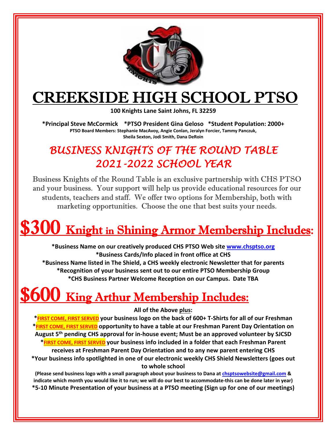

### CREEKSIDE HIGH SCHOOL PTSO

**100 Knights Lane Saint Johns, FL 32259** 

**\*Principal Steve McCormick \*PTSO President Gina Geloso \*Student Population: 2000+ PTSO Board Members: Stephanie MacAvoy, Angie Conlan, Jeralyn Forcier, Tammy Panczuk, Sheila Sexton, Jodi Smith, Dana DeRoin**

### *BUSINESS KNIGHTS OF THE ROUND TABLE 2021-2022 SCHOOL YEAR*

Business Knights of the Round Table is an exclusive partnership with CHS PTSO and your business. Your support will help us provide educational resources for our students, teachers and staff. We offer two options for Membership, both with marketing opportunities. Choose the one that best suits your needs.

# $\$300\,$  Knight in Shining Armor Membership Includes:

**\*Business Name on our creatively produced CHS PTSO Web site www.chsptso.org \*Business Cards/Info placed in front office at CHS \*Business Name listed in The Shield, a CHS weekly electronic Newsletter that for parents \*Recognition of your business sent out to our entire PTSO Membership Group \*CHS Business Partner Welcome Reception on our Campus. Date TBA**

### **\$600** King Arthur Membership Includes:

**All of the Above plus:**

**\*FIRST COME, FIRST SERVED your business logo on the back of 600+ T-Shirts for all of our Freshman \*FIRST COME, FIRST SERVED opportunity to have a table at our Freshman Parent Day Orientation on August 5th pending CHS approval for in-house event; Must be an approved volunteer by SJCSD \*FIRST COME, FIRST SERVED your business info included in a folder that each Freshman Parent receives at Freshman Parent Day Orientation and to any new parent entering CHS \*Your business info spotlighted in one of our electronic weekly CHS Shield Newsletters (goes out to whole school**

**(Please send business logo with a small paragraph about your business to Dana at chsptsowebsite@gmail.com & indicate which month you would like it to run; we will do our best to accommodate-this can be done later in year) \*5-10 Minute Presentation of your business at a PTSO meeting (Sign up for one of our meetings)**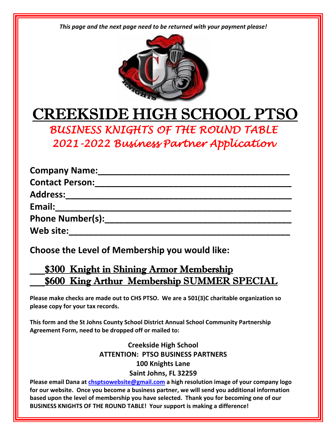*This page and the next page need to be returned with your payment please!*



## CREEKSIDE HIGH SCHOOL PTSO

*BUSINESS KNIGHTS OF THE ROUND TABLE 2021-2022 Business Partner Application* 

| <b>Company Name:</b>    |  |
|-------------------------|--|
| <b>Contact Person:</b>  |  |
| <b>Address:</b>         |  |
| Email:                  |  |
| <b>Phone Number(s):</b> |  |
| Web site:               |  |

**Choose the Level of Membership you would like:**

#### \_\_\_\$300 Knight in Shining Armor Membership **\$600 King Arthur Membership SUMMER SPECIAL**

**Please make checks are made out to CHS PTSO. We are a 501(3)C charitable organization so please copy for your tax records.** 

**This form and the St Johns County School District Annual School Community Partnership Agreement Form, need to be dropped off or mailed to:**

#### **Creekside High School ATTENTION: PTSO BUSINESS PARTNERS 100 Knights Lane Saint Johns, FL 32259**

**Please email Dana at chsptsowebsite@gmail.com a high resolution image of your company logo for our website. Once you become a business partner, we will send you additional information based upon the level of membership you have selected. Thank you for becoming one of our BUSINESS KNIGHTS OF THE ROUND TABLE! Your support is making a difference!**